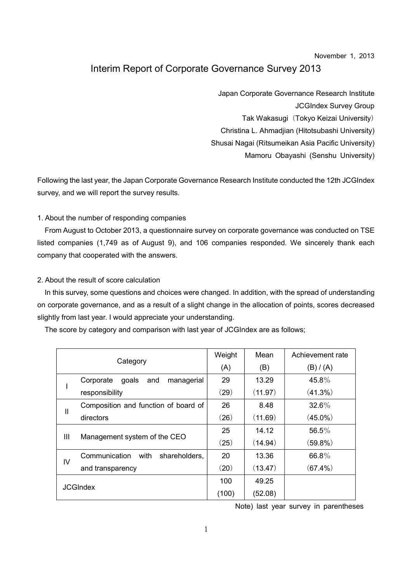#### November 1, 2013

# Interim Report of Corporate Governance Survey 2013

Japan Corporate Governance Research Institute JCGIndex Survey Group Tak Wakasugi (Tokyo Keizai University) Christina L. Ahmadjian (Hitotsubashi University) Shusai Nagai (Ritsumeikan Asia Pacific University) Mamoru Obayashi (Senshu University)

Following the last year, the Japan Corporate Governance Research Institute conducted the 12th JCGIndex survey, and we will report the survey results.

#### 1. About the number of responding companies

From August to October 2013, a questionnaire survey on corporate governance was conducted on TSE listed companies (1,749 as of August 9), and 106 companies responded. We sincerely thank each company that cooperated with the answers.

#### 2. About the result of score calculation

In this survey, some questions and choices were changed. In addition, with the spread of understanding on corporate governance, and as a result of a slight change in the allocation of points, scores decreased slightly from last year. I would appreciate your understanding.

The score by category and comparison with last year of JCGIndex are as follows;

| Category        |                                         | Weight | Mean    | Achievement rate |
|-----------------|-----------------------------------------|--------|---------|------------------|
|                 |                                         | (A)    | (B)     | (B) / (A)        |
|                 | goals<br>Corporate<br>and<br>managerial | 29     | 13.29   | 45.8%            |
|                 | responsibility                          | (29)   | (11.97) | (41.3%)          |
| Ш               | Composition and function of board of    | 26     | 8.48    | $32.6\%$         |
|                 | directors                               | (26)   | (11.69) | $(45.0\%)$       |
| Ш               | Management system of the CEO            | 25     | 14.12   | 56.5%            |
|                 |                                         | (25)   | (14.94) | $(59.8\%)$       |
| IV              | Communication<br>with<br>shareholders,  | 20     | 13.36   | 66.8%            |
|                 | and transparency                        | (20)   | (13.47) | $(67.4\%)$       |
| <b>JCGIndex</b> |                                         | 100    | 49.25   |                  |
|                 |                                         | (100)  | (52.08) |                  |

Note) last year survey in parentheses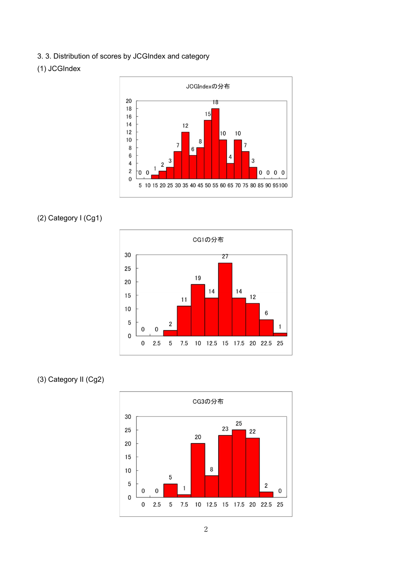3. 3. Distribution of scores by JCGIndex and category

### (1) JCGIndex



### (2) Category I (Cg1)



## (3) Category II (Cg2)